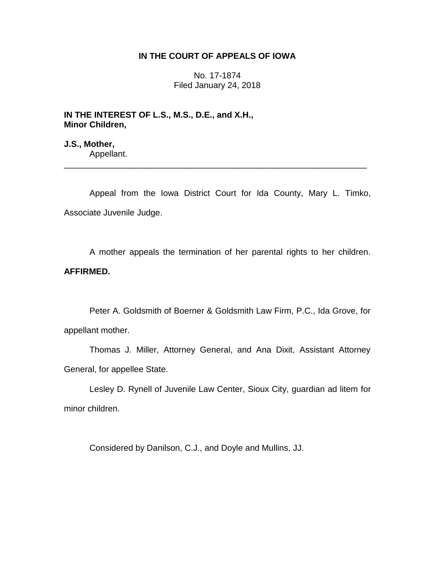## **IN THE COURT OF APPEALS OF IOWA**

No. 17-1874 Filed January 24, 2018

**IN THE INTEREST OF L.S., M.S., D.E., and X.H., Minor Children,**

**J.S., Mother,** Appellant.

Appeal from the Iowa District Court for Ida County, Mary L. Timko, Associate Juvenile Judge.

\_\_\_\_\_\_\_\_\_\_\_\_\_\_\_\_\_\_\_\_\_\_\_\_\_\_\_\_\_\_\_\_\_\_\_\_\_\_\_\_\_\_\_\_\_\_\_\_\_\_\_\_\_\_\_\_\_\_\_\_\_\_\_\_

A mother appeals the termination of her parental rights to her children. **AFFIRMED.**

Peter A. Goldsmith of Boerner & Goldsmith Law Firm, P.C., Ida Grove, for appellant mother.

Thomas J. Miller, Attorney General, and Ana Dixit, Assistant Attorney General, for appellee State.

Lesley D. Rynell of Juvenile Law Center, Sioux City, guardian ad litem for minor children.

Considered by Danilson, C.J., and Doyle and Mullins, JJ.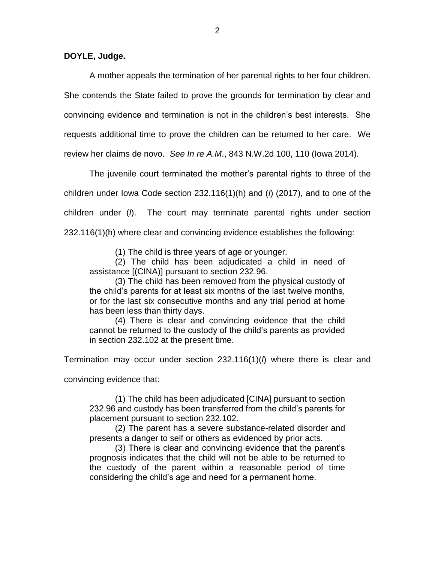**DOYLE, Judge.**

A mother appeals the termination of her parental rights to her four children. She contends the State failed to prove the grounds for termination by clear and convincing evidence and termination is not in the children's best interests. She requests additional time to prove the children can be returned to her care. We review her claims de novo. *See In re A.M*., 843 N.W.2d 100, 110 (Iowa 2014).

The juvenile court terminated the mother's parental rights to three of the children under Iowa Code section 232.116(1)(h) and (*l*) (2017), and to one of the children under (*l*). The court may terminate parental rights under section 232.116(1)(h) where clear and convincing evidence establishes the following:

(1) The child is three years of age or younger.

(2) The child has been adjudicated a child in need of assistance [(CINA)] pursuant to section 232.96.

(3) The child has been removed from the physical custody of the child's parents for at least six months of the last twelve months, or for the last six consecutive months and any trial period at home has been less than thirty days.

(4) There is clear and convincing evidence that the child cannot be returned to the custody of the child's parents as provided in section 232.102 at the present time.

Termination may occur under section 232.116(1)(*l*) where there is clear and

convincing evidence that:

(1) The child has been adjudicated [CINA] pursuant to section 232.96 and custody has been transferred from the child's parents for placement pursuant to section 232.102.

(2) The parent has a severe substance-related disorder and presents a danger to self or others as evidenced by prior acts.

(3) There is clear and convincing evidence that the parent's prognosis indicates that the child will not be able to be returned to the custody of the parent within a reasonable period of time considering the child's age and need for a permanent home.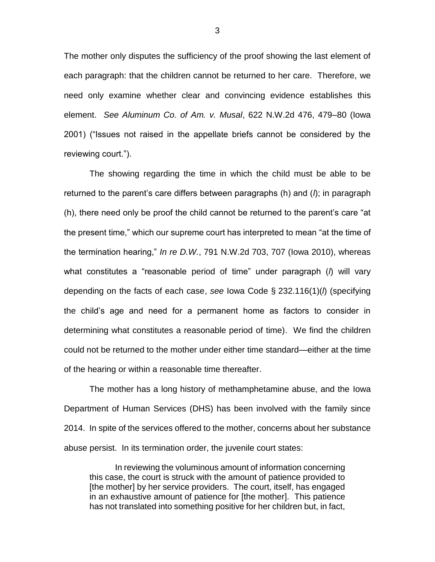The mother only disputes the sufficiency of the proof showing the last element of each paragraph: that the children cannot be returned to her care. Therefore, we need only examine whether clear and convincing evidence establishes this element. *See Aluminum Co. of Am. v. Musal*, 622 N.W.2d 476, 479–80 (Iowa 2001) ("Issues not raised in the appellate briefs cannot be considered by the reviewing court.").

The showing regarding the time in which the child must be able to be returned to the parent's care differs between paragraphs (h) and (*l*); in paragraph (h), there need only be proof the child cannot be returned to the parent's care "at the present time," which our supreme court has interpreted to mean "at the time of the termination hearing," *In re D.W.*, 791 N.W.2d 703, 707 (Iowa 2010), whereas what constitutes a "reasonable period of time" under paragraph (*l*) will vary depending on the facts of each case, *see* Iowa Code § 232.116(1)(*l*) (specifying the child's age and need for a permanent home as factors to consider in determining what constitutes a reasonable period of time). We find the children could not be returned to the mother under either time standard—either at the time of the hearing or within a reasonable time thereafter.

The mother has a long history of methamphetamine abuse, and the Iowa Department of Human Services (DHS) has been involved with the family since 2014. In spite of the services offered to the mother, concerns about her substance abuse persist. In its termination order, the juvenile court states:

In reviewing the voluminous amount of information concerning this case, the court is struck with the amount of patience provided to [the mother] by her service providers. The court, itself, has engaged in an exhaustive amount of patience for [the mother]. This patience has not translated into something positive for her children but, in fact,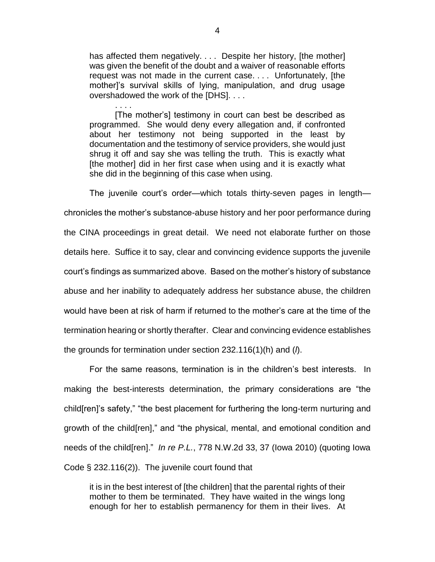has affected them negatively. . . . Despite her history, [the mother] was given the benefit of the doubt and a waiver of reasonable efforts request was not made in the current case. . . . Unfortunately, [the mother]'s survival skills of lying, manipulation, and drug usage overshadowed the work of the [DHS]. . . .

. . . . [The mother's] testimony in court can best be described as programmed. She would deny every allegation and, if confronted about her testimony not being supported in the least by documentation and the testimony of service providers, she would just shrug it off and say she was telling the truth. This is exactly what [the mother] did in her first case when using and it is exactly what she did in the beginning of this case when using.

The juvenile court's order—which totals thirty-seven pages in length chronicles the mother's substance-abuse history and her poor performance during the CINA proceedings in great detail. We need not elaborate further on those details here. Suffice it to say, clear and convincing evidence supports the juvenile court's findings as summarized above. Based on the mother's history of substance abuse and her inability to adequately address her substance abuse, the children would have been at risk of harm if returned to the mother's care at the time of the termination hearing or shortly therafter. Clear and convincing evidence establishes the grounds for termination under section 232.116(1)(h) and (*l*).

For the same reasons, termination is in the children's best interests. In making the best-interests determination, the primary considerations are "the child[ren]'s safety," "the best placement for furthering the long-term nurturing and growth of the child[ren]," and "the physical, mental, and emotional condition and needs of the child[ren]." *In re P.L.*, 778 N.W.2d 33, 37 (Iowa 2010) (quoting Iowa Code § 232.116(2)). The juvenile court found that

it is in the best interest of [the children] that the parental rights of their mother to them be terminated. They have waited in the wings long enough for her to establish permanency for them in their lives. At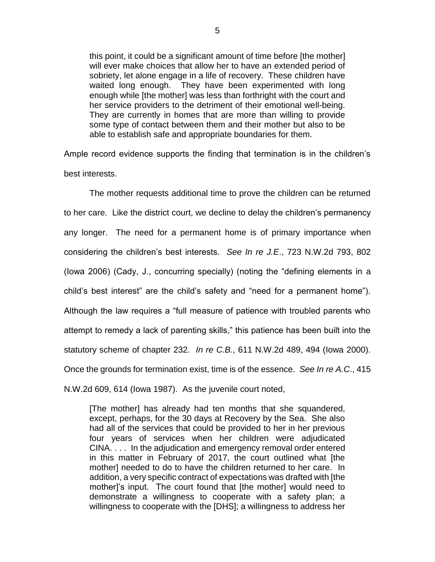this point, it could be a significant amount of time before [the mother] will ever make choices that allow her to have an extended period of sobriety, let alone engage in a life of recovery. These children have waited long enough. They have been experimented with long enough while [the mother] was less than forthright with the court and her service providers to the detriment of their emotional well-being. They are currently in homes that are more than willing to provide some type of contact between them and their mother but also to be able to establish safe and appropriate boundaries for them.

Ample record evidence supports the finding that termination is in the children's best interests.

The mother requests additional time to prove the children can be returned to her care. Like the district court, we decline to delay the children's permanency any longer. The need for a permanent home is of primary importance when considering the children's best interests. *See In re J.E*., 723 N.W.2d 793, 802 (Iowa 2006) (Cady, J., concurring specially) (noting the "defining elements in a child's best interest" are the child's safety and "need for a permanent home"). Although the law requires a "full measure of patience with troubled parents who attempt to remedy a lack of parenting skills," this patience has been built into the statutory scheme of chapter 232. *In re C.B.*, 611 N.W.2d 489, 494 (Iowa 2000). Once the grounds for termination exist, time is of the essence. *See In re A.C*., 415 N.W.2d 609, 614 (Iowa 1987). As the juvenile court noted,

[The mother] has already had ten months that she squandered, except, perhaps, for the 30 days at Recovery by the Sea. She also had all of the services that could be provided to her in her previous four years of services when her children were adjudicated CINA. . . . In the adjudication and emergency removal order entered in this matter in February of 2017, the court outlined what [the mother] needed to do to have the children returned to her care. In addition, a very specific contract of expectations was drafted with [the mother]'s input. The court found that [the mother] would need to demonstrate a willingness to cooperate with a safety plan; a willingness to cooperate with the [DHS]; a willingness to address her